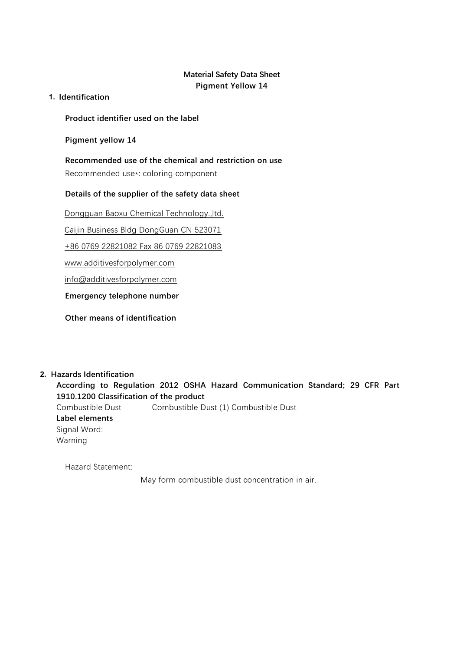# **Material Safety Data Sheet Pigment Yellow 14**

**1. Identification**

**Product identifier used on the label**

**Pigment yellow 14**

**Recommended use of the chemical and restriction on use** Recommended use\*: coloring component

# **Details of the supplier of the safety data sheet**

Dongguan Baoxu Chemical Technology.,ltd.

Caijin Business Bldg DongGuan CN 523071

+86 0769 22821082 Fax 86 0769 22821083

www.additivesforpolymer.com

info@additivesforpolymer.com

**Emergency telephone number**

**Other means of identification**

**2. Hazards Identification According to Regulation 2012 OSHA Hazard Communication Standard; 29 CFR Part 1910.1200 Classification of the product** Combustible Dust Combustible Dust (1) Combustible Dust **Label elements** Signal Word: Warning

Hazard Statement:

May form combustible dust concentration in air.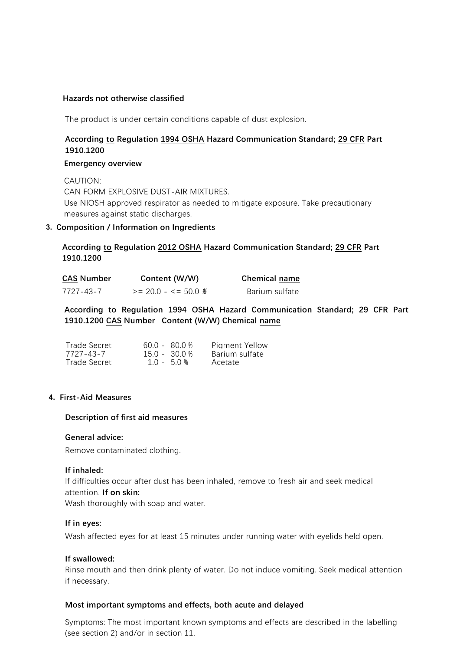#### **Hazards not otherwise classified**

The product is under certain conditions capable of dust explosion.

# **According to Regulation 1994 OSHA Hazard Communication Standard; 29 CFR Part 1910.1200**

#### **Emergency overview**

CAUTION: CAN FORM EXPLOSIVE DUST-AIR MIXTURES. Use NIOSH approved respirator as needed to mitigate exposure. Take precautionary measures against static discharges.

## **3. Composition / Information on Ingredients**

## **According to Regulation 2012 OSHA Hazard Communication Standard; 29 CFR Part 1910.1200**

| <b>CAS Number</b> | Content (W/W)      | <b>Chemical name</b> |
|-------------------|--------------------|----------------------|
| 7727-43-7         | $>= 20.0 - 50.0$ % | Barium sulfate       |

**According to Regulation 1994 OSHA Hazard Communication Standard; 29 CFR Part 1910.1200 CAS Number Content (W/W) Chemical name**

| Trade Secret | 600 - 800 % | Piament Yellow |
|--------------|-------------|----------------|
| 7727-43-7    | 150-300%    | Barium sulfate |
| Trade Secret | $10 - 50%$  | Acetate        |

#### **4. First-Aid Measures**

#### **Description of first aid measures**

#### **General advice:**

Remove contaminated clothing.

#### **If inhaled:**

If difficulties occur after dust has been inhaled, remove to fresh air and seek medical attention. **If on skin:**

Wash thoroughly with soap and water.

## **If in eyes:**

Wash affected eyes for at least 15 minutes under running water with eyelids held open.

#### **If swallowed:**

Rinse mouth and then drink plenty of water. Do not induce vomiting. Seek medical attention if necessary.

#### **Most important symptoms and effects, both acute and delayed**

Symptoms: The most important known symptoms and effects are described in the labelling (see section 2) and/or in section 11.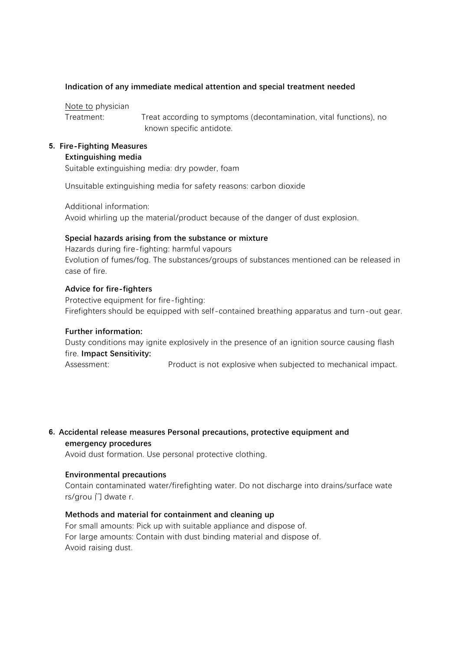## **Indication of any immediate medical attention and special treatment needed**

Note to physician

Treatment: Treat according to symptoms (decontamination, vital functions), no known specific antidote.

#### **5. Fire-Fighting Measures Extinguishing media**

Suitable extinguishing media: dry powder, foam

Unsuitable extinguishing media for safety reasons: carbon dioxide

Additional information: Avoid whirling up the material/product because of the danger of dust explosion.

## **Special hazards arising from the substance or mixture**

Hazards during fire-fighting: harmful vapours Evolution of fumes/fog. The substances/groups of substances mentioned can be released in case of fire.

# **Advice for fire-fighters**

Protective equipment for fire-fighting: Firefighters should be equipped with self-contained breathing apparatus and turn-out gear.

## **Further information:**

Dusty conditions may ignite explosively in the presence of an ignition source causing flash fire. **Impact Sensitivity:**

Assessment: Product is not explosive when subjected to mechanical impact.

**6. Accidental release measures Personal precautions, protective equipment and emergency procedures**

Avoid dust formation. Use personal protective clothing.

## **Environmental precautions**

Contain contaminated water/firefighting water. Do not discharge into drains/surface wate rs/grou 门 dwate r.

# **Methods and material for containment and cleaning up**

For small amounts: Pick up with suitable appliance and dispose of. For large amounts: Contain with dust binding material and dispose of. Avoid raising dust.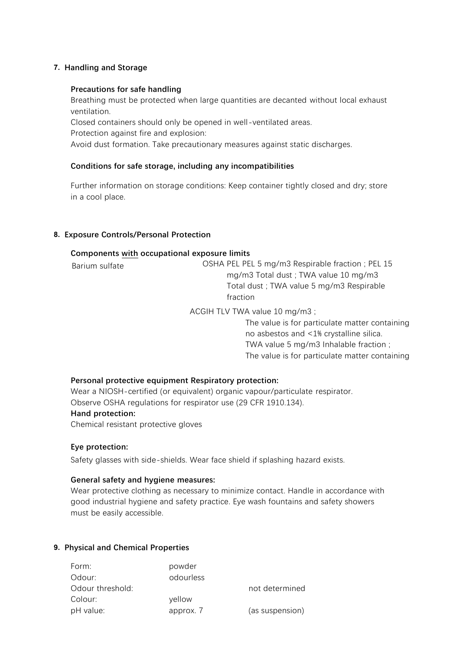## **7. Handling and Storage**

## **Precautions for safe handling**

Breathing must be protected when large quantities are decanted without local exhaust ventilation.

Closed containers should only be opened in well-ventilated areas.

Protection against fire and explosion:

Avoid dust formation. Take precautionary measures against static discharges.

## **Conditions for safe storage, including any incompatibilities**

Further information on storage conditions: Keep container tightly closed and dry; store in a cool place.

## **8. Exposure Controls/Personal Protection**

## **Components with occupational exposure limits**

| Barium sulfate | OSHA PEL PEL 5 mg/m3 Respirable fraction; PEL 15 |
|----------------|--------------------------------------------------|
|                | mg/m3 Total dust; TWA value 10 mg/m3             |
|                | Total dust ; TWA value 5 mg/m3 Respirable        |
|                | fraction                                         |
|                |                                                  |

ACGIH TLV TWA value 10 mg/m3 ;

The value is for particulate matter containing no asbestos and <1% crystalline silica. TWA value 5 mg/m3 Inhalable fraction ; The value is for particulate matter containing

## **Personal protective equipment Respiratory protection:**

Wear a NIOSH-certified (or equivalent) organic vapour/particulate respirator. Observe OSHA regulations for respirator use (29 CFR 1910.134). **Hand protection:**

Chemical resistant protective gloves

## **Eye protection:**

Safety glasses with side-shields. Wear face shield if splashing hazard exists.

## **General safety and hygiene measures:**

Wear protective clothing as necessary to minimize contact. Handle in accordance with good industrial hygiene and safety practice. Eye wash fountains and safety showers must be easily accessible.

## **9. Physical and Chemical Properties**

| Form:            | powder    |                 |
|------------------|-----------|-----------------|
| Odour:           | odourless |                 |
| Odour threshold: |           | not determined  |
| Colour:          | yellow    |                 |
| pH value:        | approx. 7 | (as suspension) |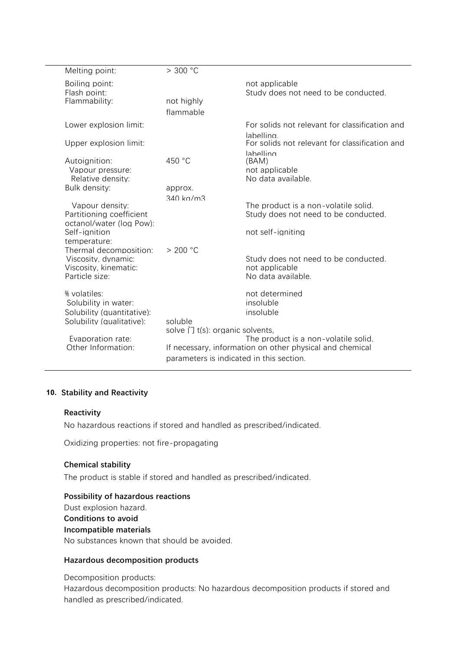| Melting point:                                                                                           | > 300 °C                                           |                                                                                                   |
|----------------------------------------------------------------------------------------------------------|----------------------------------------------------|---------------------------------------------------------------------------------------------------|
| Boiling point:<br>Flash point:<br>Flammability:                                                          | not highly<br>flammable                            | not applicable<br>Study does not need to be conducted.                                            |
| Lower explosion limit:                                                                                   |                                                    | For solids not relevant for classification and                                                    |
| Upper explosion limit:                                                                                   |                                                    | lahelling<br>For solids not relevant for classification and<br>lahelling                          |
| Autoignition:<br>Vapour pressure:<br>Relative density:                                                   | 450 °C                                             | (BAM)<br>not applicable<br>No data available.                                                     |
| Bulk density:                                                                                            | approx.<br>$340$ kg/m3                             |                                                                                                   |
| Vapour density:<br>Partitioning coefficient<br>octanol/water (log Pow):<br>Self-ignition                 |                                                    | The product is a non-volatile solid.<br>Study does not need to be conducted.<br>not self-ianiting |
| temperature:<br>Thermal decomposition:<br>Viscosity, dynamic:<br>Viscosity, kinematic:<br>Particle size: | > 200 °C                                           | Study does not need to be conducted.<br>not applicable<br>No data available.                      |
| % volatiles:<br>Solubility in water:<br>Solubility (quantitative):                                       |                                                    | not determined<br>insoluble<br>insoluble                                                          |
| Solubility (qualitative):                                                                                | soluble<br>solve $\bigcap$ t(s): organic solvents, |                                                                                                   |
| Evaporation rate:<br>Other Information:                                                                  | parameters is indicated in this section.           | The product is a non-volatile solid.<br>If necessary, information on other physical and chemical  |
|                                                                                                          |                                                    |                                                                                                   |

## **10. Stability and Reactivity**

#### **Reactivity**

No hazardous reactions if stored and handled as prescribed/indicated.

Oxidizing properties: not fire-propagating

#### **Chemical stability**

The product is stable if stored and handled as prescribed/indicated.

## **Possibility of hazardous reactions** Dust explosion hazard.

**Conditions to avoid Incompatible materials** No substances known that should be avoided.

## **Hazardous decomposition products**

Decomposition products:

Hazardous decomposition products: No hazardous decomposition products if stored and handled as prescribed/indicated.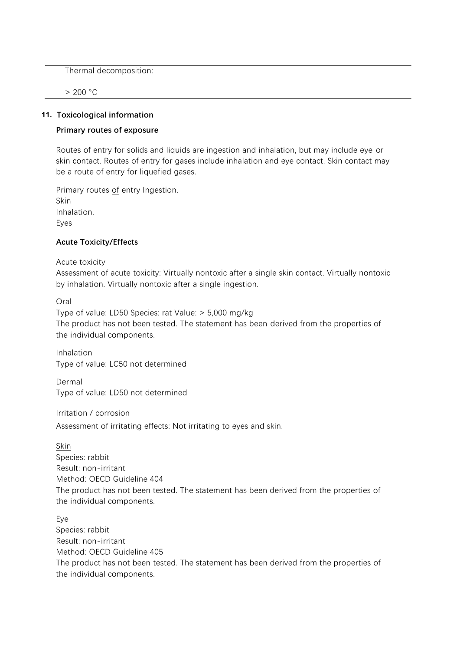Thermal decomposition:

> 200 °C

#### **11. Toxicological information**

## **Primary routes of exposure**

Routes of entry for solids and liquids are ingestion and inhalation, but may include eye or skin contact. Routes of entry for gases include inhalation and eye contact. Skin contact may be a route of entry for liquefied gases.

Primary routes of entry Ingestion. Skin Inhalation. Eyes

## **Acute Toxicity/Effects**

Acute toxicity

Assessment of acute toxicity: Virtually nontoxic after a single skin contact. Virtually nontoxic by inhalation. Virtually nontoxic after a single ingestion.

Oral

Type of value: LD50 Species: rat Value: > 5,000 mg/kg The product has not been tested. The statement has been derived from the properties of the individual components.

Inhalation Type of value: LC50 not determined

Dermal Type of value: LD50 not determined

Irritation / corrosion Assessment of irritating effects: Not irritating to eyes and skin.

Skin Species: rabbit Result: non-irritant Method: OECD Guideline 404 The product has not been tested. The statement has been derived from the properties of the individual components.

Eye Species: rabbit Result: non-irritant Method: OECD Guideline 405 The product has not been tested. The statement has been derived from the properties of the individual components.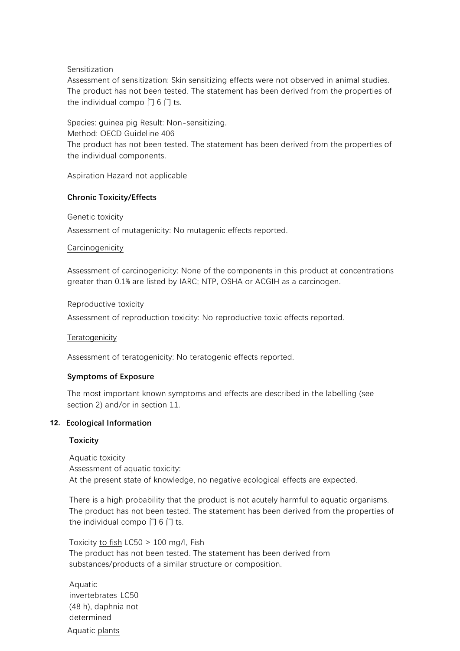## Sensitization

Assessment of sensitization: Skin sensitizing effects were not observed in animal studies. The product has not been tested. The statement has been derived from the properties of the individual compo  $\overline{1}$  6  $\overline{1}$  ts.

Species: guinea pig Result: Non-sensitizing. Method: OECD Guideline 406 The product has not been tested. The statement has been derived from the properties of the individual components.

Aspiration Hazard not applicable

## **Chronic Toxicity/Effects**

Genetic toxicity

Assessment of mutagenicity: No mutagenic effects reported.

## **Carcinogenicity**

Assessment of carcinogenicity: None of the components in this product at concentrations greater than 0.1% are listed by IARC; NTP, OSHA or ACGIH as a carcinogen.

Reproductive toxicity

Assessment of reproduction toxicity: No reproductive toxic effects reported.

**Teratogenicity** 

Assessment of teratogenicity: No teratogenic effects reported.

## **Symptoms of Exposure**

The most important known symptoms and effects are described in the labelling (see section 2) and/or in section 11.

## **12. Ecological Information**

## **Toxicity**

Aquatic toxicity Assessment of aquatic toxicity: At the present state of knowledge, no negative ecological effects are expected.

There is a high probability that the product is not acutely harmful to aquatic organisms. The product has not been tested. The statement has been derived from the properties of the individual compo  $\overline{1}$  6  $\overline{1}$  ts.

Toxicity to fish LC50 > 100 mg/l, Fish The product has not been tested. The statement has been derived from substances/products of a similar structure or composition.

Aquatic invertebrates LC50 (48 h), daphnia not determined Aquatic plants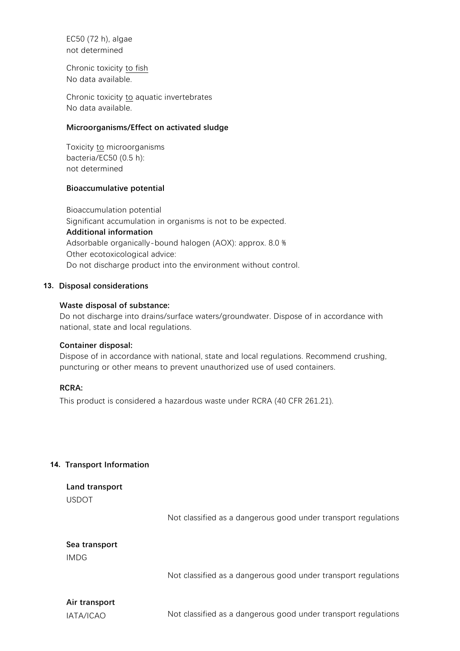EC50 (72 h), algae not determined

Chronic toxicity to fish No data available.

Chronic toxicity to aquatic invertebrates No data available.

#### **Microorganisms/Effect on activated sludge**

Toxicity to microorganisms bacteria/EC50 (0.5 h): not determined

## **Bioaccumulative potential**

Bioaccumulation potential Significant accumulation in organisms is not to be expected. **Additional information** Adsorbable organically-bound halogen (AOX): approx. 8.0 % Other ecotoxicological advice: Do not discharge product into the environment without control.

## **13. Disposal considerations**

## **Waste disposal of substance:**

Do not discharge into drains/surface waters/groundwater. Dispose of in accordance with national, state and local regulations.

#### **Container disposal:**

Dispose of in accordance with national, state and local regulations. Recommend crushing, puncturing or other means to prevent unauthorized use of used containers.

#### **RCRA:**

This product is considered a hazardous waste under RCRA (40 CFR 261.21).

## **14. Transport Information**

**Land transport** USDOT

Not classified as a dangerous good under transport regulations

# **Sea transport** IMDG

Not classified as a dangerous good under transport regulations

# **Air transport**

IATA/ICAO Not classified as a dangerous good under transport regulations